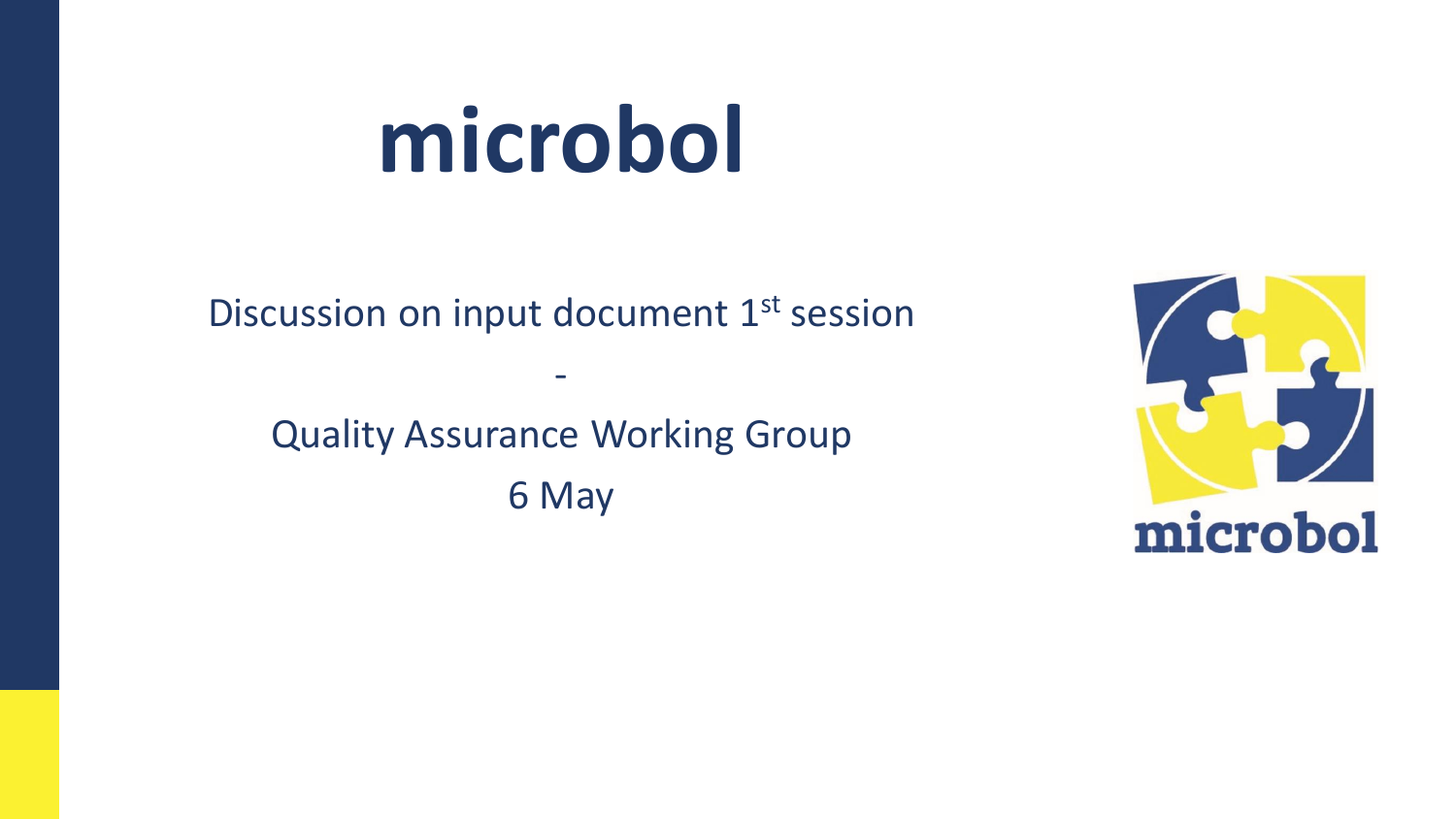# **microbol**

Discussion on input document 1<sup>st</sup> session

-

Quality Assurance Working Group 6 May

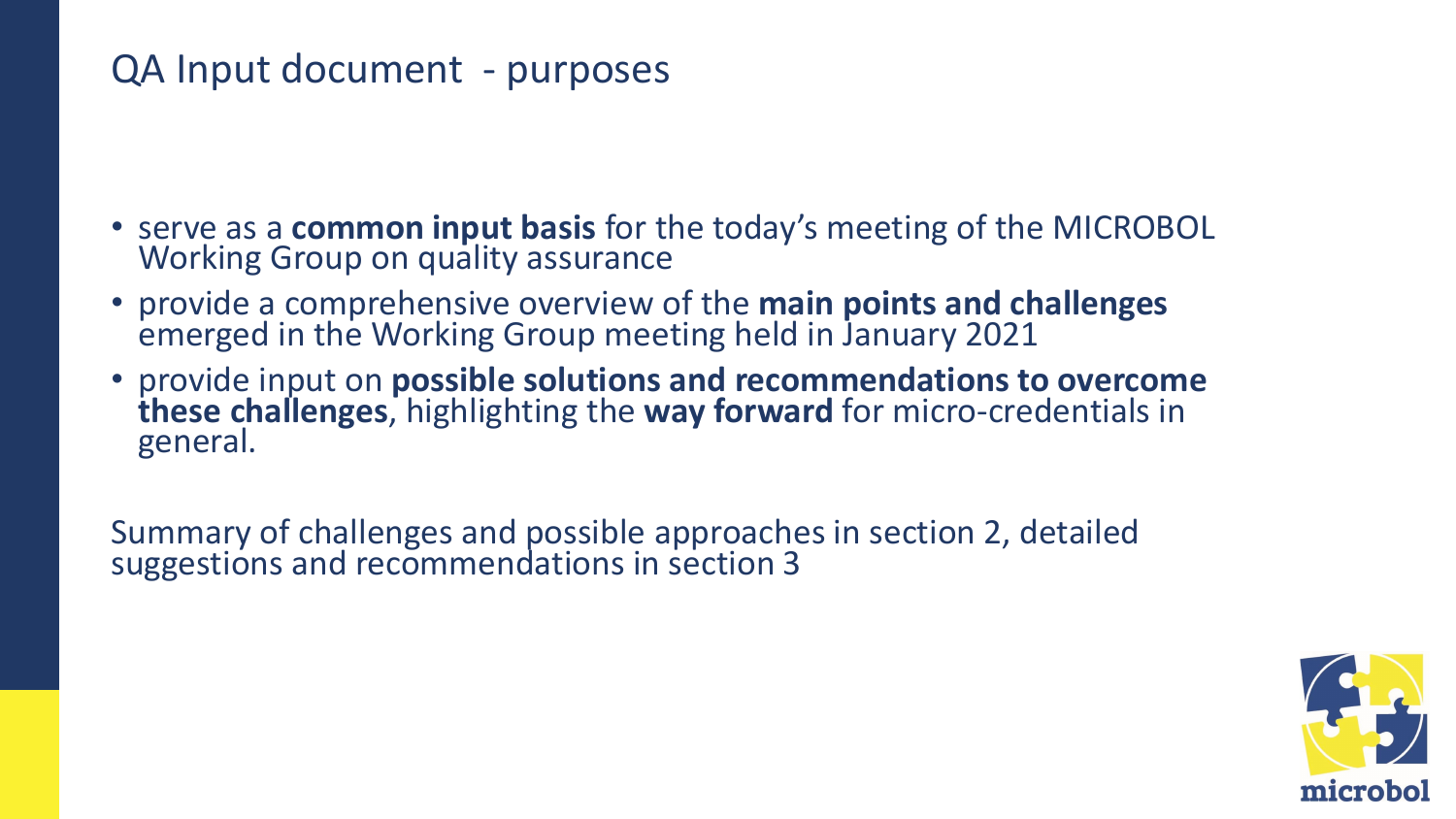#### QA Input document - purposes

- serve as a **common input basis** for the today's meeting of the MICROBOL Working Group on quality assurance
- provide a comprehensive overview of the **main points and challenges**  emerged in the Working Group meeting held in January 2021
- provide input on **possible solutions and recommendations to overcome these challenges**, highlighting the **way forward** for micro-credentials in general.

Summary of challenges and possible approaches in section 2, detailed suggestions and recommendations in section 3

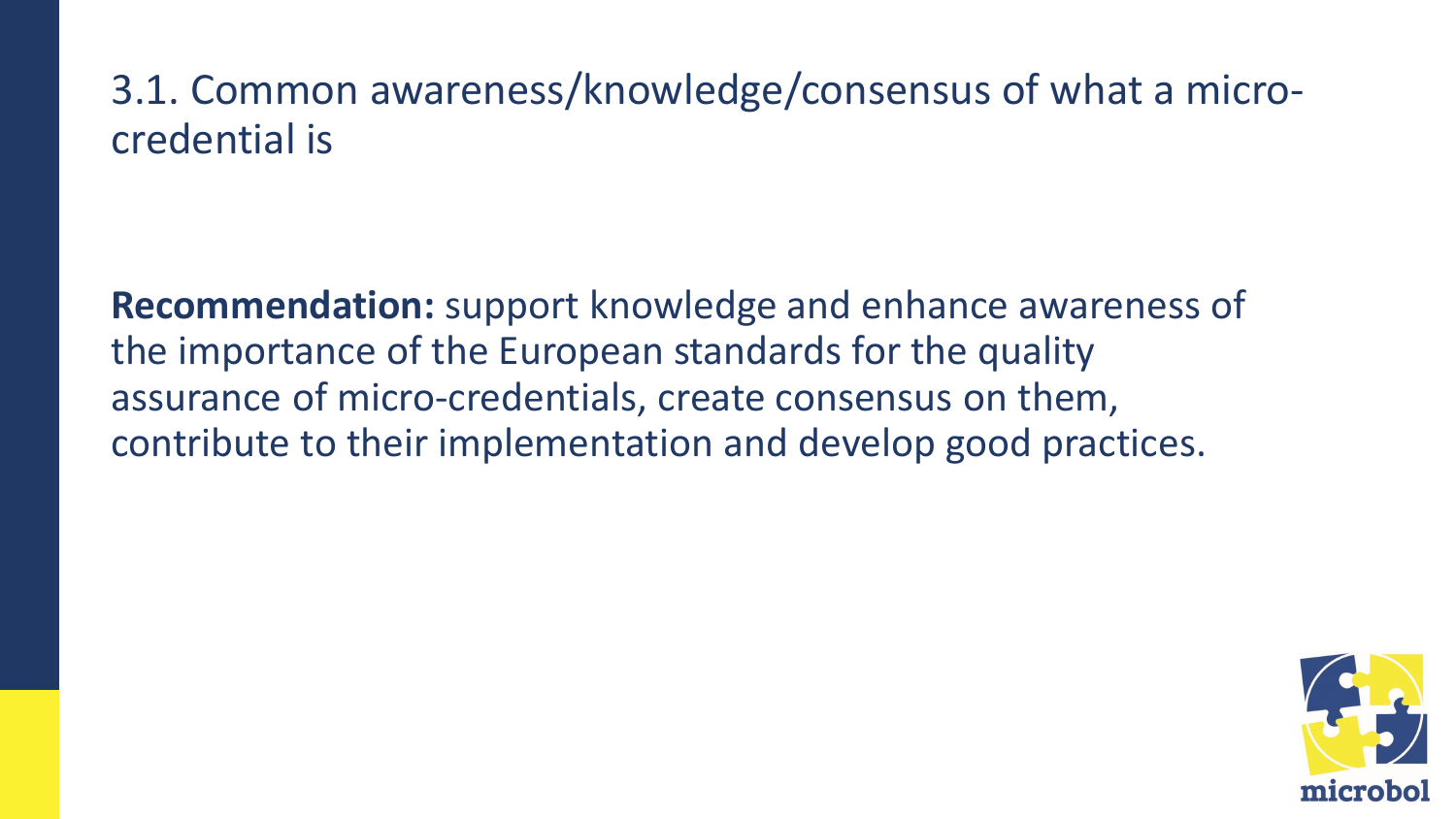### 3.1. Common awareness/knowledge/consensus of what a microcredential is

**Recommendation:** support knowledge and enhance awareness of the importance of the European standards for the quality assurance of micro-credentials, create consensus on them, contribute to their implementation and develop good practices.

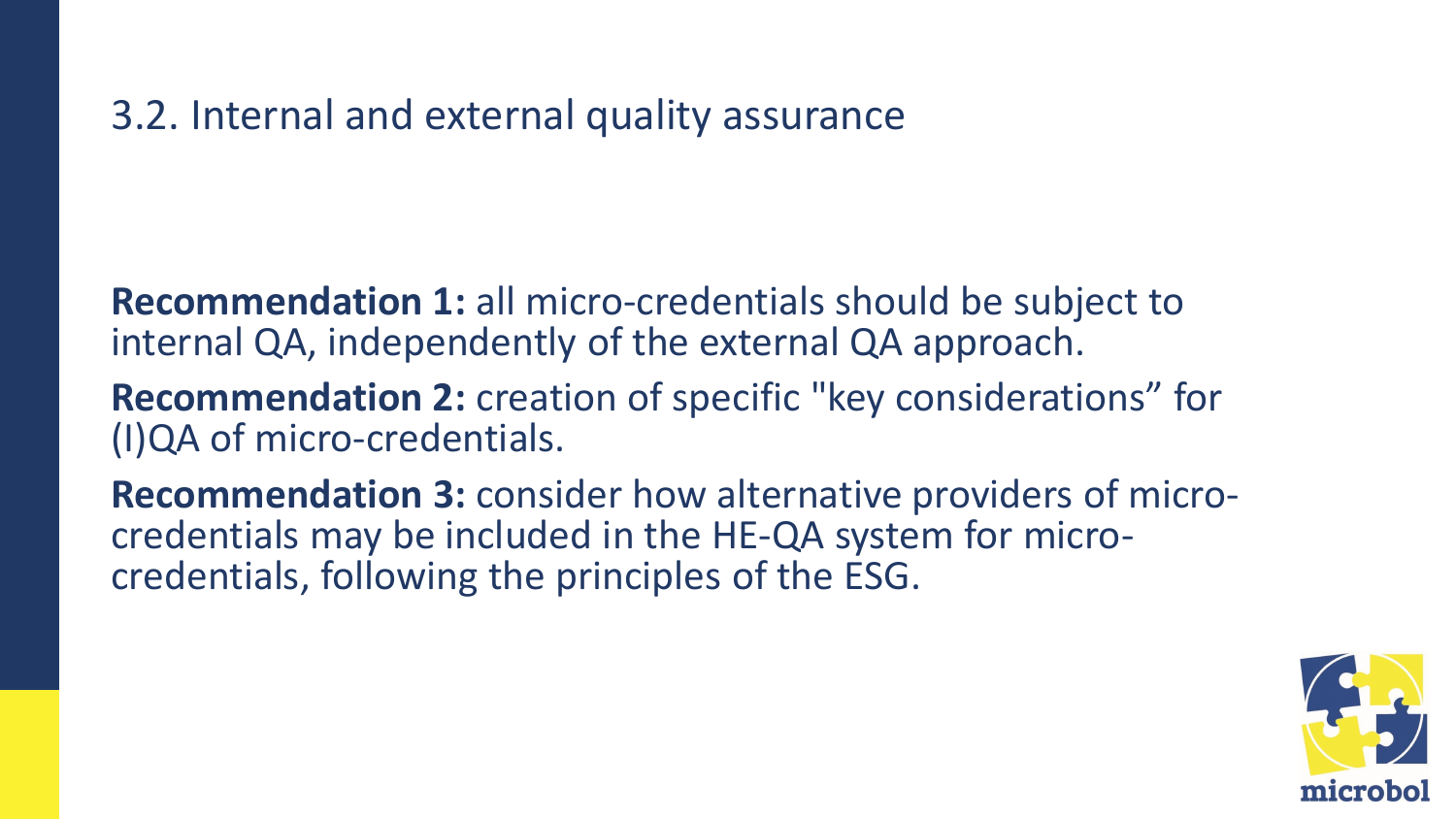#### 3.2. Internal and external quality assurance

**Recommendation 1:** all micro-credentials should be subject to internal QA, independently of the external QA approach.

**Recommendation 2:** creation of specific "key considerations" for (I)QA of micro-credentials.

**Recommendation 3:** consider how alternative providers of microcredentials may be included in the HE-QA system for microcredentials, following the principles of the ESG.

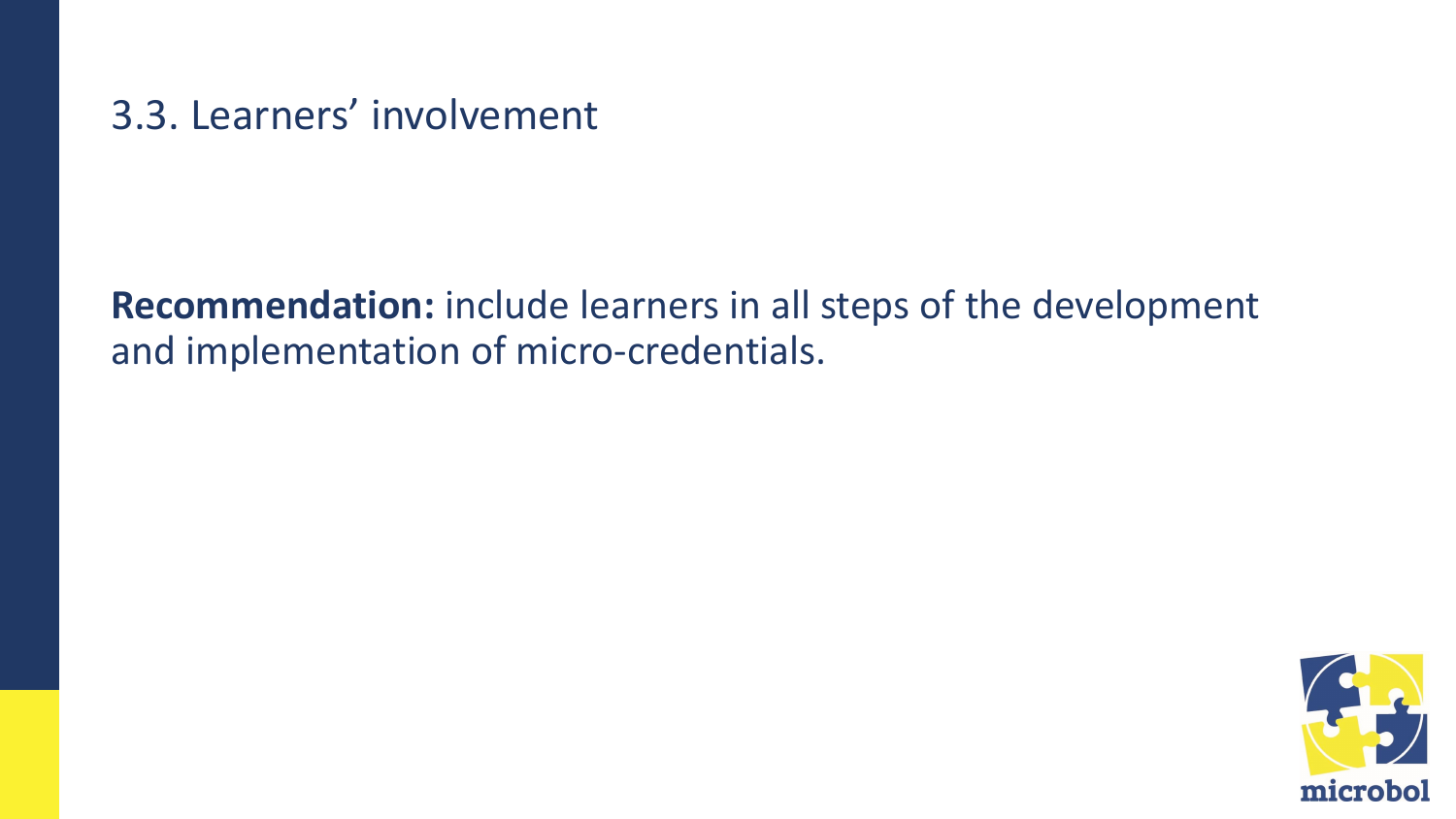3.3. Learners' involvement

**Recommendation:** include learners in all steps of the development and implementation of micro-credentials.

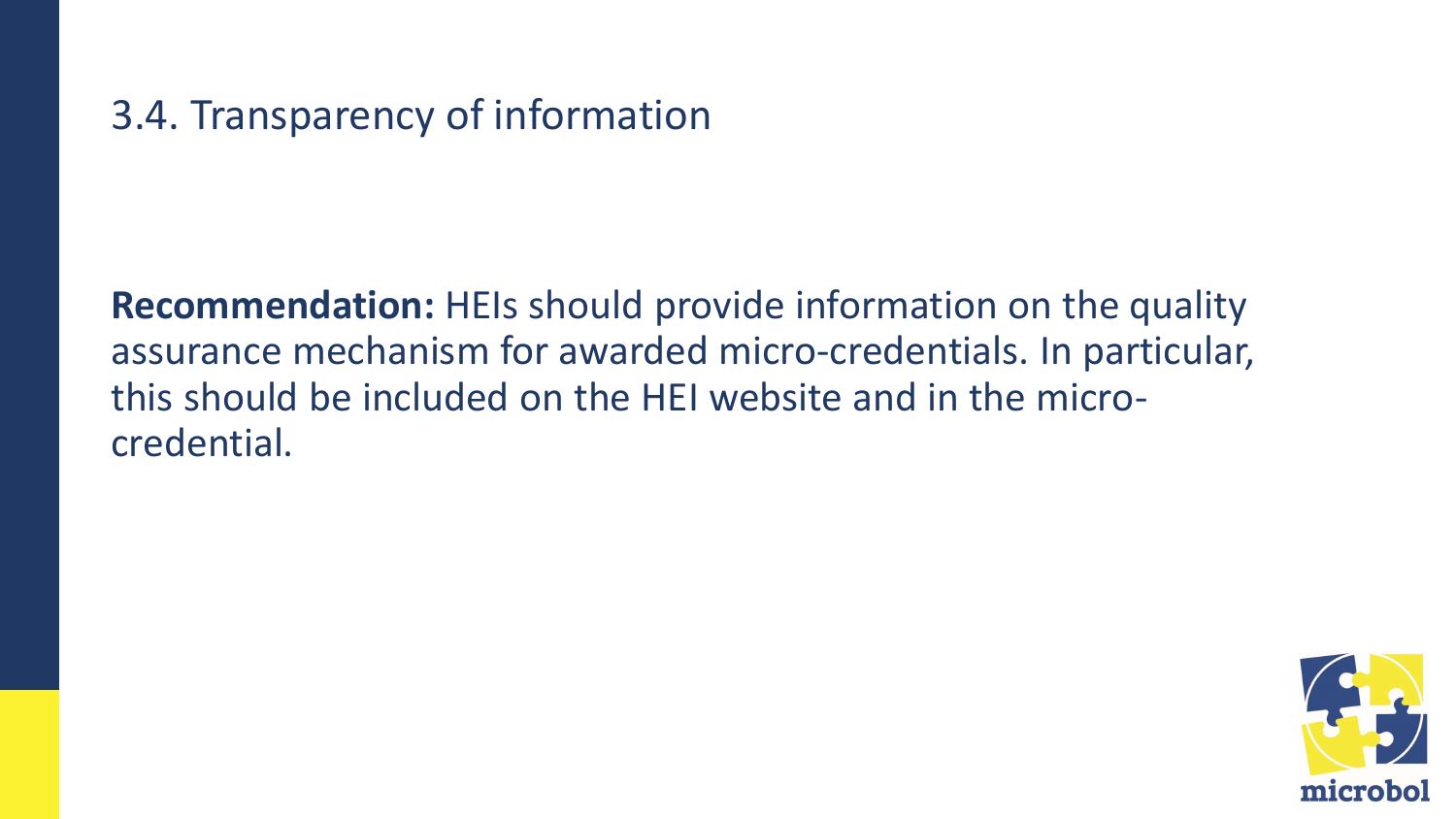### 3.4. Transparency of information

**Recommendation:** HEIs should provide information on the quality assurance mechanism for awarded micro-credentials. In particular, this should be included on the HEI website and in the microcredential.

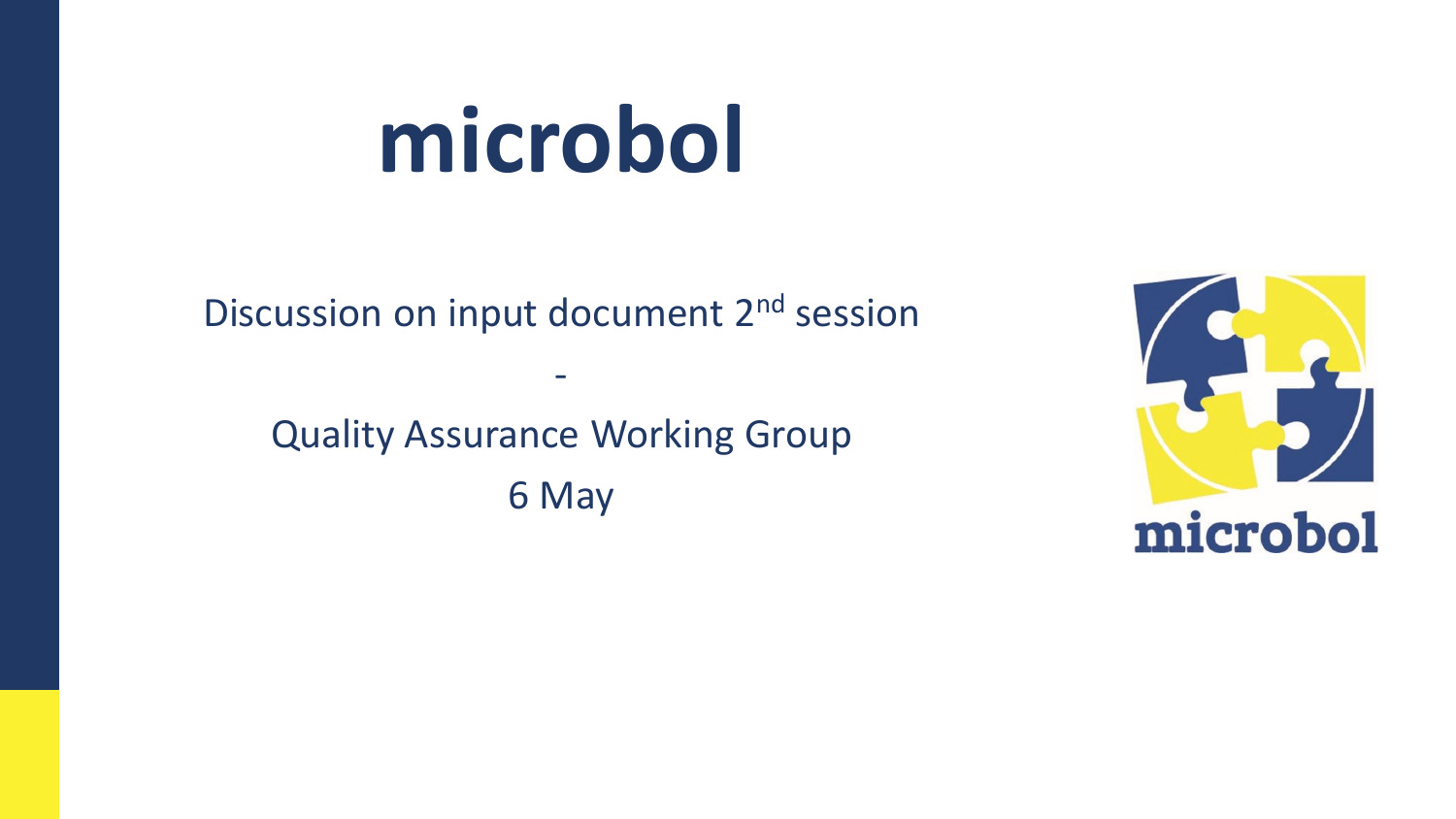# **microbol**

Discussion on input document 2<sup>nd</sup> session

-

Quality Assurance Working Group 6 May

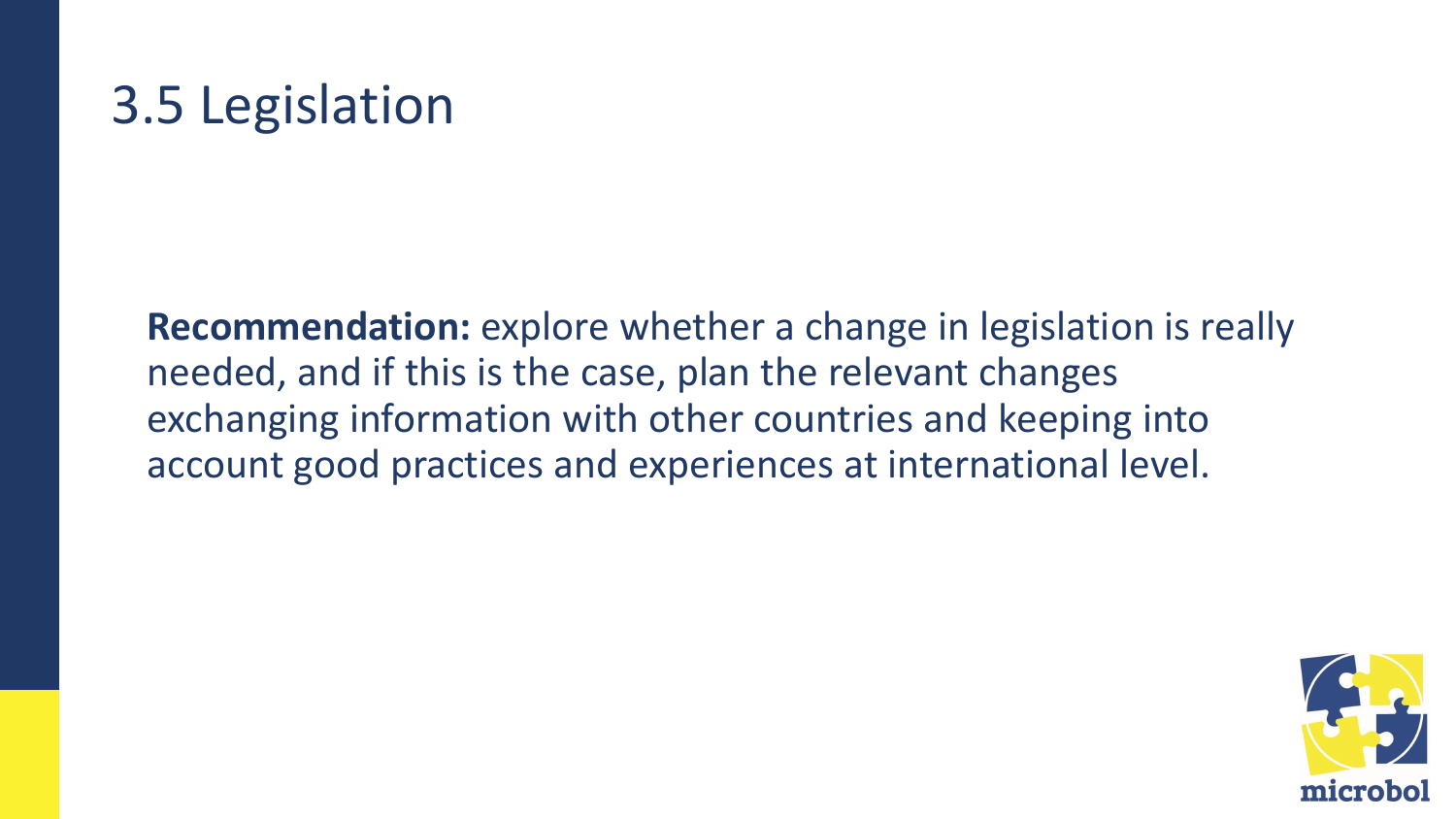## 3.5 Legislation

**Recommendation:** explore whether a change in legislation is really needed, and if this is the case, plan the relevant changes exchanging information with other countries and keeping into account good practices and experiences at international level.

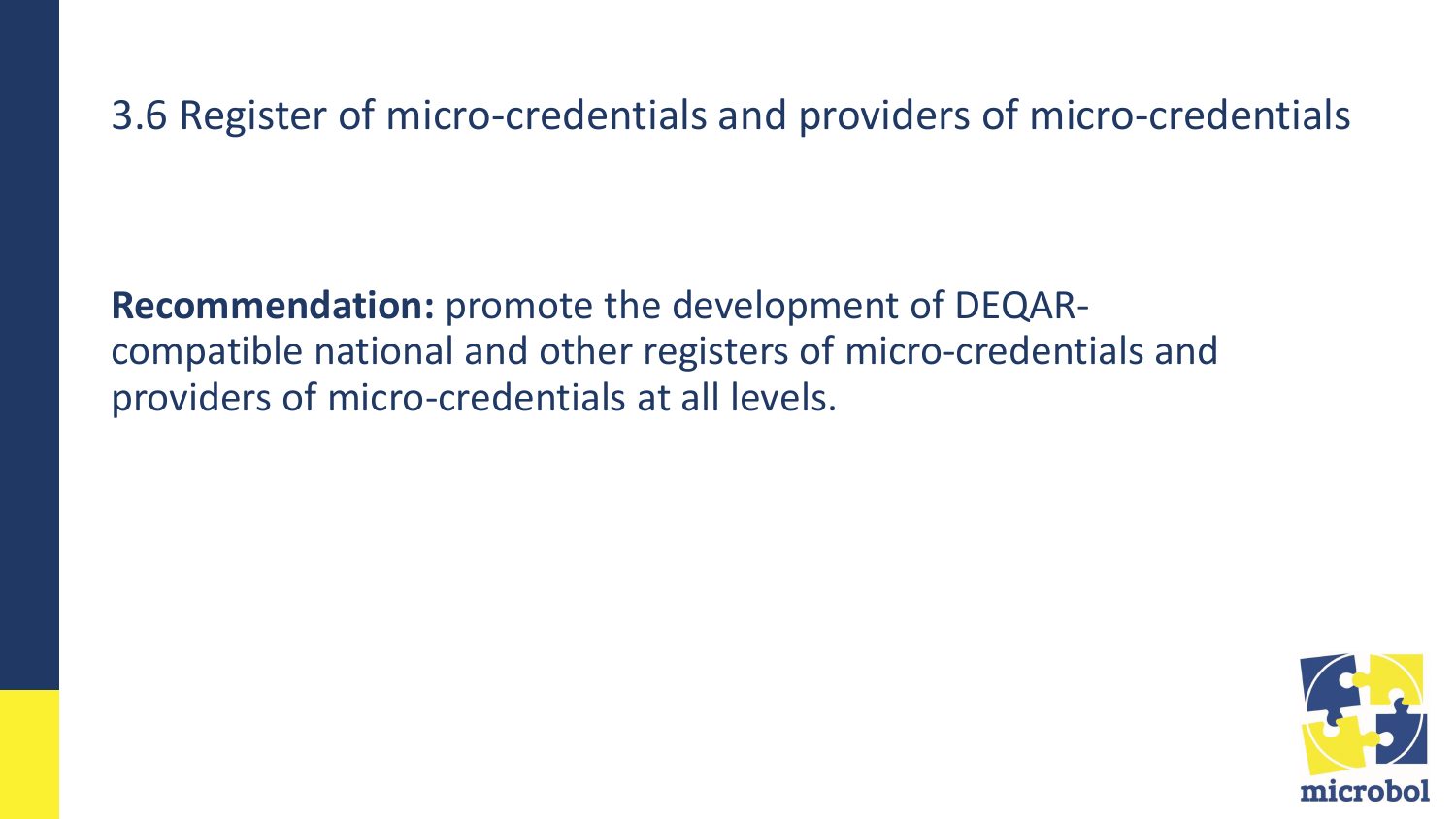3.6 Register of micro-credentials and providers of micro-credentials

**Recommendation:** promote the development of DEQARcompatible national and other registers of micro-credentials and providers of micro-credentials at all levels.

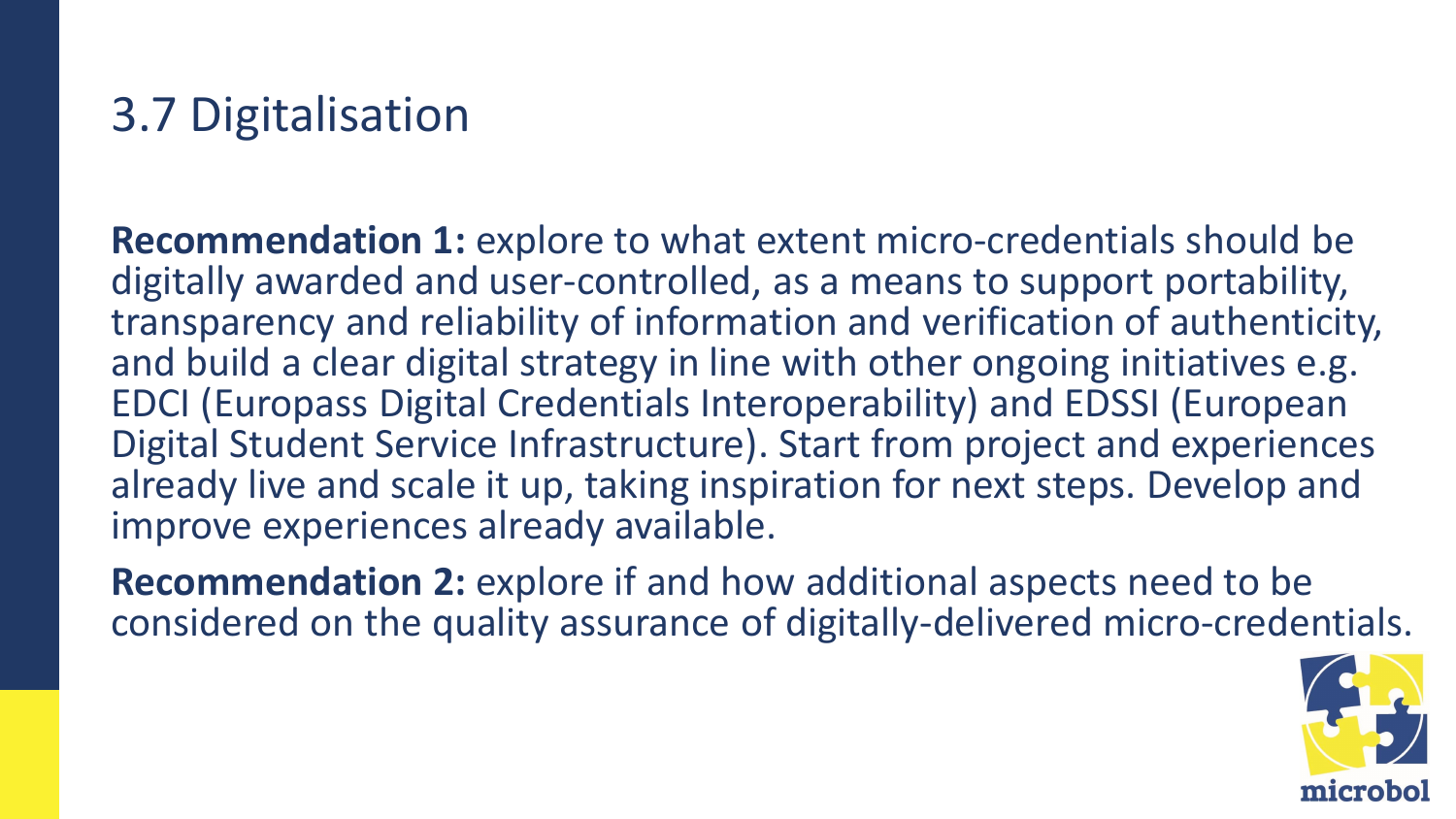## 3.7 Digitalisation

**Recommendation 1:** explore to what extent micro-credentials should be digitally awarded and user-controlled, as a means to support portability, transparency and reliability of information and verification of authenticity, and build a clear digital strategy in line with other ongoing initiatives e.g. EDCI (Europass Digital Credentials Interoperability) and EDSSI (European Digital Student Service Infrastructure). Start from project and experiences already live and scale it up, taking inspiration for next steps. Develop and improve experiences already available.

**Recommendation 2:** explore if and how additional aspects need to be considered on the quality assurance of digitally-delivered micro-credentials.

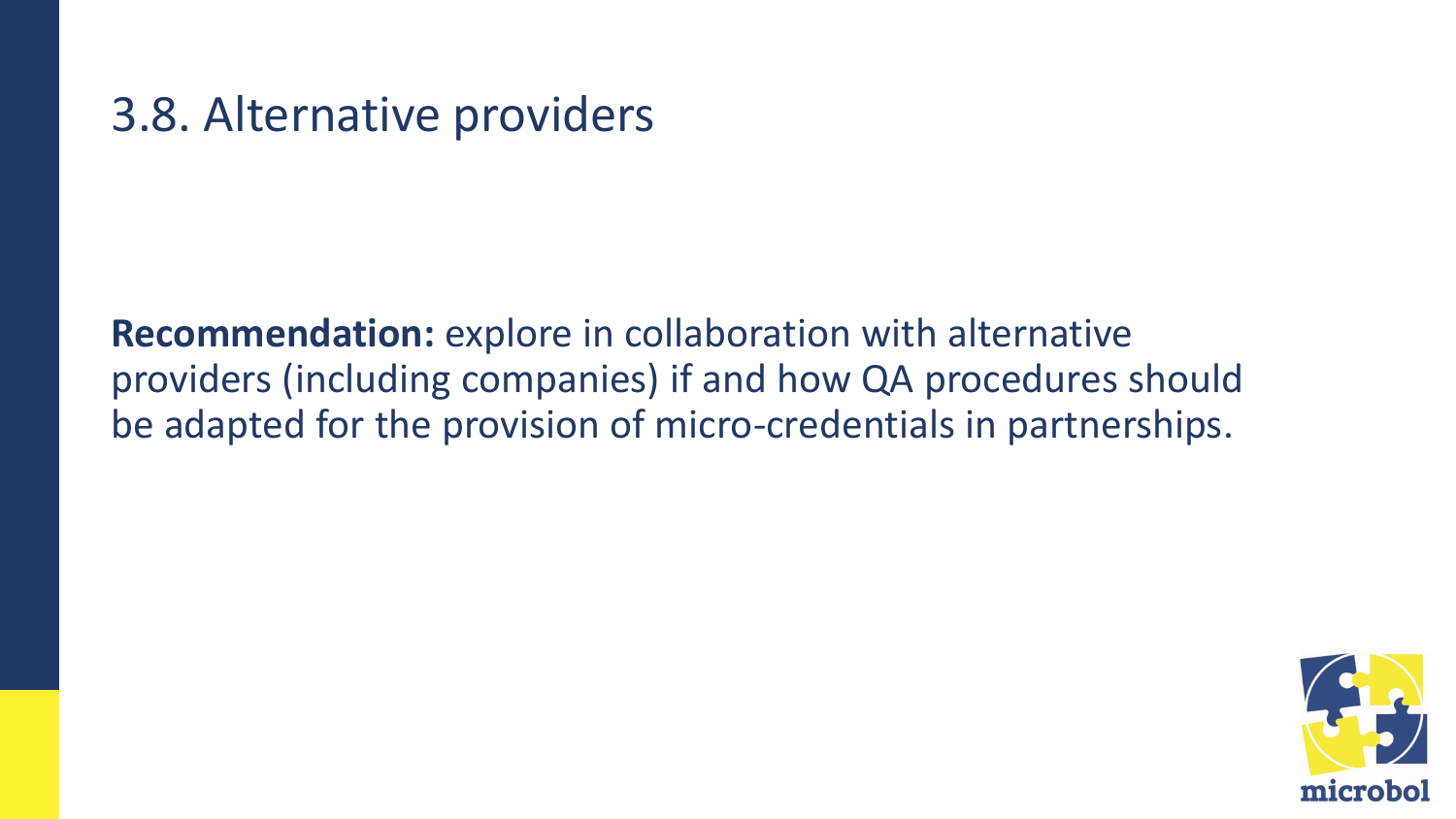### 3.8. Alternative providers

**Recommendation:** explore in collaboration with alternative providers (including companies) if and how QA procedures should be adapted for the provision of micro-credentials in partnerships.

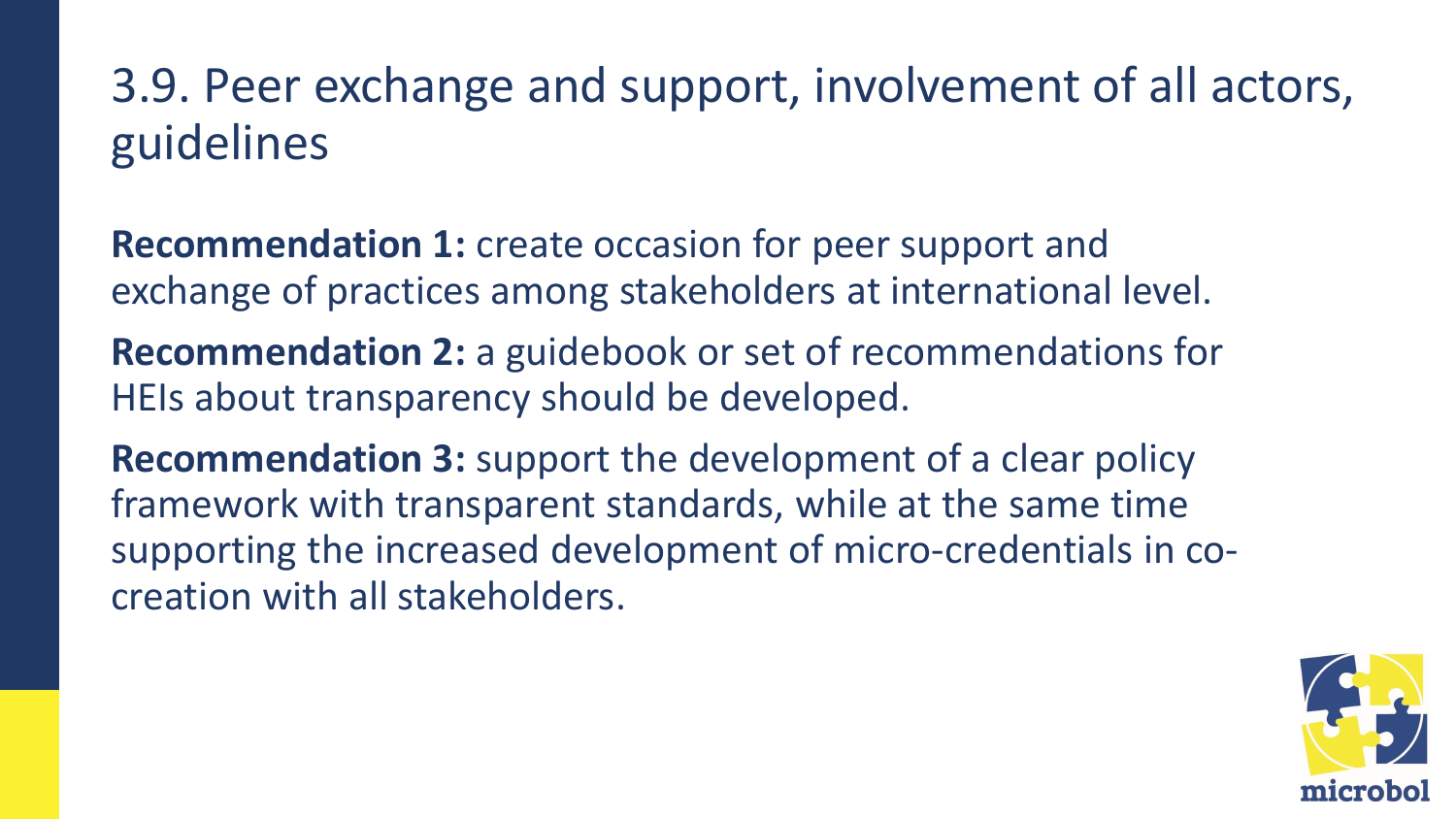## 3.9. Peer exchange and support, involvement of all actors, guidelines

**Recommendation 1:** create occasion for peer support and exchange of practices among stakeholders at international level.

**Recommendation 2:** a guidebook or set of recommendations for HEIs about transparency should be developed.

**Recommendation 3:** support the development of a clear policy framework with transparent standards, while at the same time supporting the increased development of micro-credentials in cocreation with all stakeholders.